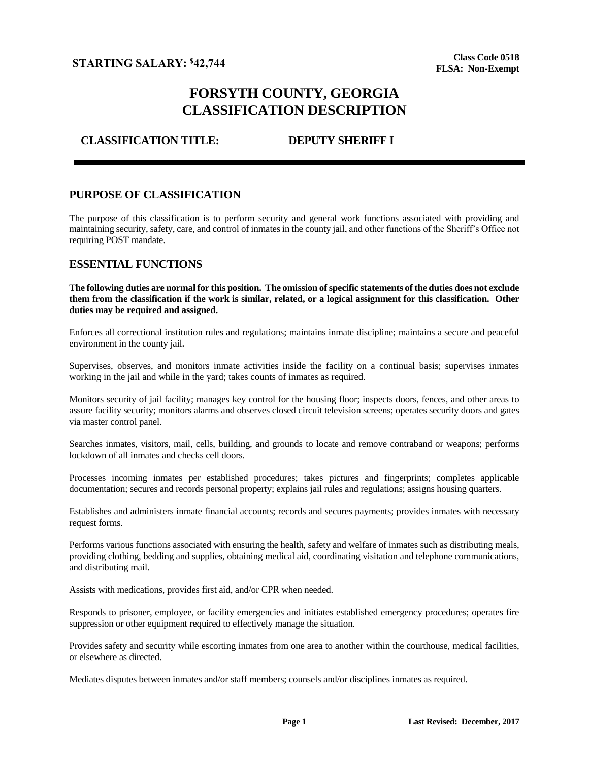# **FORSYTH COUNTY, GEORGIA CLASSIFICATION DESCRIPTION**

## **CLASSIFICATION TITLE: DEPUTY SHERIFF I**

### **PURPOSE OF CLASSIFICATION**

The purpose of this classification is to perform security and general work functions associated with providing and maintaining security, safety, care, and control of inmates in the county jail, and other functions of the Sheriff's Office not requiring POST mandate.

### **ESSENTIAL FUNCTIONS**

**The following duties are normal for this position. The omission of specific statements of the duties does not exclude them from the classification if the work is similar, related, or a logical assignment for this classification. Other duties may be required and assigned.**

Enforces all correctional institution rules and regulations; maintains inmate discipline; maintains a secure and peaceful environment in the county jail.

Supervises, observes, and monitors inmate activities inside the facility on a continual basis; supervises inmates working in the jail and while in the yard; takes counts of inmates as required.

Monitors security of jail facility; manages key control for the housing floor; inspects doors, fences, and other areas to assure facility security; monitors alarms and observes closed circuit television screens; operates security doors and gates via master control panel.

Searches inmates, visitors, mail, cells, building, and grounds to locate and remove contraband or weapons; performs lockdown of all inmates and checks cell doors.

Processes incoming inmates per established procedures; takes pictures and fingerprints; completes applicable documentation; secures and records personal property; explains jail rules and regulations; assigns housing quarters.

Establishes and administers inmate financial accounts; records and secures payments; provides inmates with necessary request forms.

Performs various functions associated with ensuring the health, safety and welfare of inmates such as distributing meals, providing clothing, bedding and supplies, obtaining medical aid, coordinating visitation and telephone communications, and distributing mail.

Assists with medications, provides first aid, and/or CPR when needed.

Responds to prisoner, employee, or facility emergencies and initiates established emergency procedures; operates fire suppression or other equipment required to effectively manage the situation.

Provides safety and security while escorting inmates from one area to another within the courthouse, medical facilities, or elsewhere as directed.

Mediates disputes between inmates and/or staff members; counsels and/or disciplines inmates as required.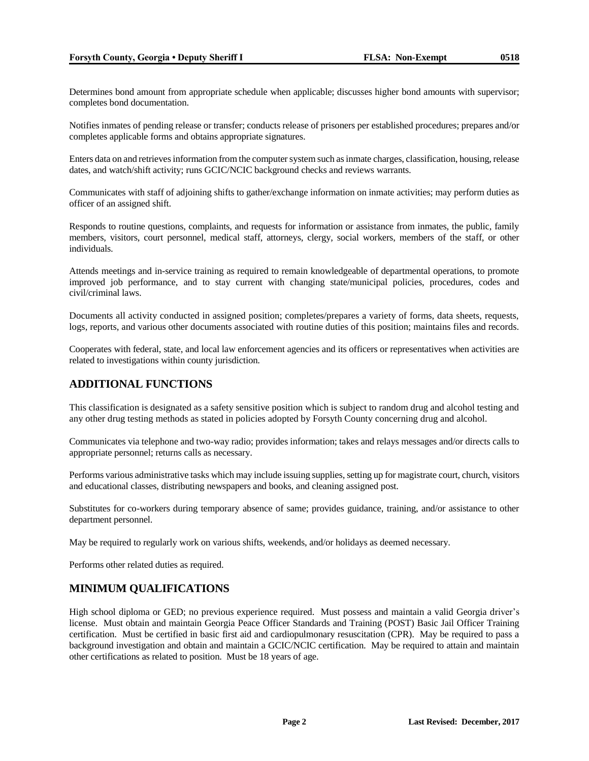Determines bond amount from appropriate schedule when applicable; discusses higher bond amounts with supervisor; completes bond documentation.

Notifies inmates of pending release or transfer; conducts release of prisoners per established procedures; prepares and/or completes applicable forms and obtains appropriate signatures.

Enters data on and retrieves information from the computer system such as inmate charges, classification, housing, release dates, and watch/shift activity; runs GCIC/NCIC background checks and reviews warrants.

Communicates with staff of adjoining shifts to gather/exchange information on inmate activities; may perform duties as officer of an assigned shift.

Responds to routine questions, complaints, and requests for information or assistance from inmates, the public, family members, visitors, court personnel, medical staff, attorneys, clergy, social workers, members of the staff, or other individuals.

Attends meetings and in-service training as required to remain knowledgeable of departmental operations, to promote improved job performance, and to stay current with changing state/municipal policies, procedures, codes and civil/criminal laws.

Documents all activity conducted in assigned position; completes/prepares a variety of forms, data sheets, requests, logs, reports, and various other documents associated with routine duties of this position; maintains files and records.

Cooperates with federal, state, and local law enforcement agencies and its officers or representatives when activities are related to investigations within county jurisdiction.

### **ADDITIONAL FUNCTIONS**

This classification is designated as a safety sensitive position which is subject to random drug and alcohol testing and any other drug testing methods as stated in policies adopted by Forsyth County concerning drug and alcohol.

Communicates via telephone and two-way radio; provides information; takes and relays messages and/or directs calls to appropriate personnel; returns calls as necessary.

Performs various administrative tasks which may include issuing supplies, setting up for magistrate court, church, visitors and educational classes, distributing newspapers and books, and cleaning assigned post.

Substitutes for co-workers during temporary absence of same; provides guidance, training, and/or assistance to other department personnel.

May be required to regularly work on various shifts, weekends, and/or holidays as deemed necessary.

Performs other related duties as required.

### **MINIMUM QUALIFICATIONS**

High school diploma or GED; no previous experience required. Must possess and maintain a valid Georgia driver's license. Must obtain and maintain Georgia Peace Officer Standards and Training (POST) Basic Jail Officer Training certification. Must be certified in basic first aid and cardiopulmonary resuscitation (CPR). May be required to pass a background investigation and obtain and maintain a GCIC/NCIC certification. May be required to attain and maintain other certifications as related to position. Must be 18 years of age.